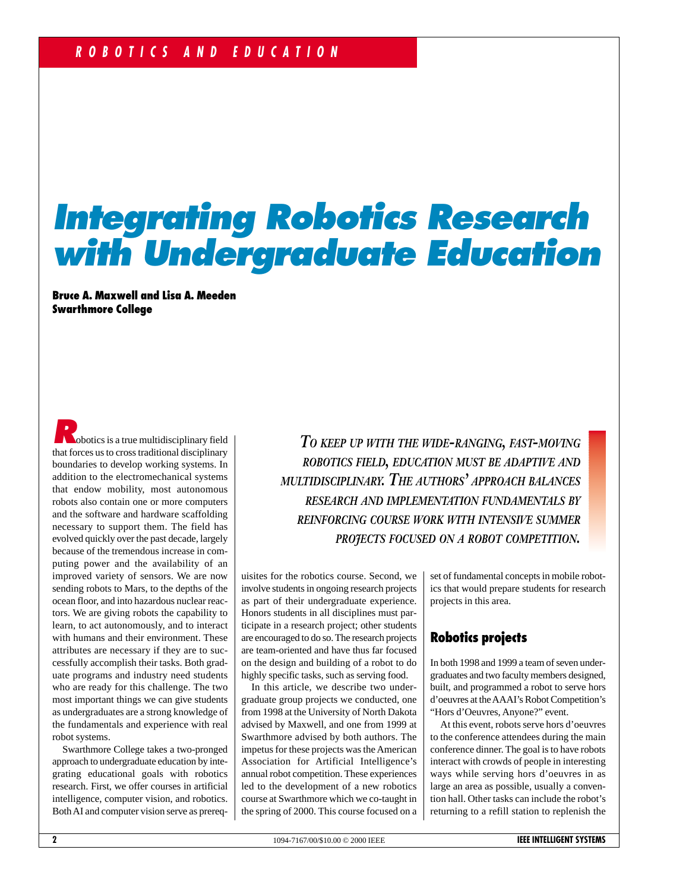# *Integrating Robotics Research with Undergraduate Education*

**Bruce A. Maxwell and Lisa A. Meeden Swarthmore College**

*<u></u>* $\alpha$ **botics** is a true multidisciplinary field that forces us to cross traditional disciplinary boundaries to develop working systems. In addition to the electromechanical systems that endow mobility, most autonomous robots also contain one or more computers and the software and hardware scaffolding necessary to support them. The field has evolved quickly over the past decade, largely because of the tremendous increase in computing power and the availability of an improved variety of sensors. We are now sending robots to Mars, to the depths of the ocean floor, and into hazardous nuclear reactors. We are giving robots the capability to learn, to act autonomously, and to interact with humans and their environment. These attributes are necessary if they are to successfully accomplish their tasks. Both graduate programs and industry need students who are ready for this challenge. The two most important things we can give students as undergraduates are a strong knowledge of the fundamentals and experience with real robot systems.

Swarthmore College takes a two-pronged approach to undergraduate education by integrating educational goals with robotics research. First, we offer courses in artificial intelligence, computer vision, and robotics. Both AI and computer vision serve as prereq-

*TO KEEP UP WITH THE WIDE-RANGING, FAST-MOVING ROBOTICS FIELD, EDUCATION MUST BE ADAPTIVE AND MULTIDISCIPLINARY. THE AUTHORS' APPROACH BALANCES RESEARCH AND IMPLEMENTATION FUNDAMENTALS BY REINFORCING COURSE WORK WITH INTENSIVE SUMMER PROJECTS FOCUSED ON A ROBOT COMPETITION.*

uisites for the robotics course. Second, we involve students in ongoing research projects as part of their undergraduate experience. Honors students in all disciplines must participate in a research project; other students are encouraged to do so. The research projects are team-oriented and have thus far focused on the design and building of a robot to do highly specific tasks, such as serving food.

In this article, we describe two undergraduate group projects we conducted, one from 1998 at the University of North Dakota advised by Maxwell, and one from 1999 at Swarthmore advised by both authors. The impetus for these projects was the American Association for Artificial Intelligence's annual robot competition. These experiences led to the development of a new robotics course at Swarthmore which we co-taught in the spring of 2000. This course focused on a set of fundamental concepts in mobile robotics that would prepare students for research projects in this area.

#### **Robotics projects**

In both 1998 and 1999 a team of seven undergraduates and two faculty members designed, built, and programmed a robot to serve hors d'oeuvres at the AAAI's Robot Competition's "Hors d'Oeuvres, Anyone?" event.

At this event, robots serve hors d'oeuvres to the conference attendees during the main conference dinner. The goal is to have robots interact with crowds of people in interesting ways while serving hors d'oeuvres in as large an area as possible, usually a convention hall. Other tasks can include the robot's returning to a refill station to replenish the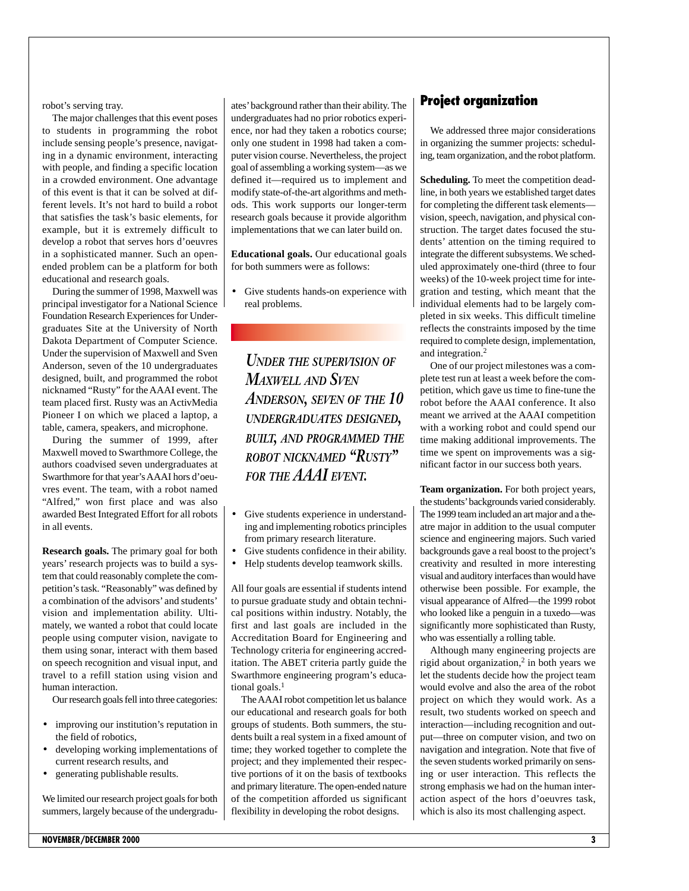robot's serving tray.

The major challenges that this event poses to students in programming the robot include sensing people's presence, navigating in a dynamic environment, interacting with people, and finding a specific location in a crowded environment. One advantage of this event is that it can be solved at different levels. It's not hard to build a robot that satisfies the task's basic elements, for example, but it is extremely difficult to develop a robot that serves hors d'oeuvres in a sophisticated manner. Such an openended problem can be a platform for both educational and research goals.

During the summer of 1998, Maxwell was principal investigator for a National Science Foundation Research Experiences for Undergraduates Site at the University of North Dakota Department of Computer Science. Under the supervision of Maxwell and Sven Anderson, seven of the 10 undergraduates designed, built, and programmed the robot nicknamed "Rusty" for the AAAI event. The team placed first. Rusty was an ActivMedia Pioneer I on which we placed a laptop, a table, camera, speakers, and microphone.

During the summer of 1999, after Maxwell moved to Swarthmore College, the authors coadvised seven undergraduates at Swarthmore for that year's AAAI hors d'oeuvres event. The team, with a robot named "Alfred," won first place and was also awarded Best Integrated Effort for all robots in all events.

**Research goals.** The primary goal for both years' research projects was to build a system that could reasonably complete the competition's task. "Reasonably" was defined by a combination of the advisors'and students' vision and implementation ability. Ultimately, we wanted a robot that could locate people using computer vision, navigate to them using sonar, interact with them based on speech recognition and visual input, and travel to a refill station using vision and human interaction.

Our research goals fell into three categories:

- improving our institution's reputation in the field of robotics,
- developing working implementations of current research results, and
- generating publishable results.

We limited our research project goals for both summers, largely because of the undergraduates'background rather than their ability. The undergraduates had no prior robotics experience, nor had they taken a robotics course; only one student in 1998 had taken a computer vision course. Nevertheless, the project goal of assembling a working system—as we defined it—required us to implement and modify state-of-the-art algorithms and methods. This work supports our longer-term research goals because it provide algorithm implementations that we can later build on.

**Educational goals.** Our educational goals for both summers were as follows:

• Give students hands-on experience with real problems.

*UNDER THE SUPERVISION OF MAXWELL AND SVEN ANDERSON, SEVEN OF THE 10 UNDERGRADUATES DESIGNED, BUILT, AND PROGRAMMED THE ROBOT NICKNAMED "RUSTY" FOR THE AAAI EVENT.*

- Give students experience in understanding and implementing robotics principles from primary research literature.
- Give students confidence in their ability.
- Help students develop teamwork skills.

All four goals are essential if students intend to pursue graduate study and obtain technical positions within industry. Notably, the first and last goals are included in the Accreditation Board for Engineering and Technology criteria for engineering accreditation. The ABET criteria partly guide the Swarthmore engineering program's educational goals.<sup>1</sup>

The AAAI robot competition let us balance our educational and research goals for both groups of students. Both summers, the students built a real system in a fixed amount of time; they worked together to complete the project; and they implemented their respective portions of it on the basis of textbooks and primary literature. The open-ended nature of the competition afforded us significant flexibility in developing the robot designs.

## **Project organization**

We addressed three major considerations in organizing the summer projects: scheduling, team organization, and the robot platform.

**Scheduling.** To meet the competition deadline, in both years we established target dates for completing the different task elements vision, speech, navigation, and physical construction. The target dates focused the students' attention on the timing required to integrate the different subsystems. We scheduled approximately one-third (three to four weeks) of the 10-week project time for integration and testing, which meant that the individual elements had to be largely completed in six weeks. This difficult timeline reflects the constraints imposed by the time required to complete design, implementation, and integration.2

One of our project milestones was a complete test run at least a week before the competition, which gave us time to fine-tune the robot before the AAAI conference. It also meant we arrived at the AAAI competition with a working robot and could spend our time making additional improvements. The time we spent on improvements was a significant factor in our success both years.

**Team organization.** For both project years, the students'backgrounds varied considerably. The 1999 team included an art major and a theatre major in addition to the usual computer science and engineering majors. Such varied backgrounds gave a real boost to the project's creativity and resulted in more interesting visual and auditory interfaces than would have otherwise been possible. For example, the visual appearance of Alfred—the 1999 robot who looked like a penguin in a tuxedo—was significantly more sophisticated than Rusty, who was essentially a rolling table.

Although many engineering projects are rigid about organization, $2$  in both years we let the students decide how the project team would evolve and also the area of the robot project on which they would work. As a result, two students worked on speech and interaction—including recognition and output—three on computer vision, and two on navigation and integration. Note that five of the seven students worked primarily on sensing or user interaction. This reflects the strong emphasis we had on the human interaction aspect of the hors d'oeuvres task, which is also its most challenging aspect.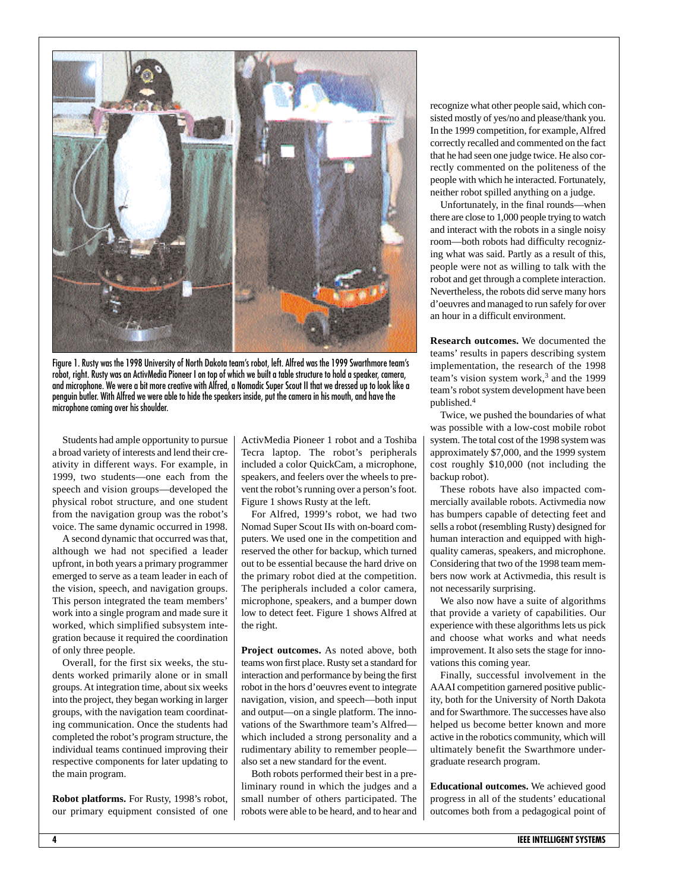

Figure 1. Rusty was the 1998 University of North Dakota team's robot, left. Alfred was the 1999 Swarthmore team's robot, right. Rusty was an ActivMedia Pioneer I on top of which we built a table structure to hold a speaker, camera, and microphone. We were a bit more creative with Alfred, a Nomadic Super Scout II that we dressed up to look like a penguin butler. With Alfred we were able to hide the speakers inside, put the camera in his mouth, and have the microphone coming over his shoulder.

Students had ample opportunity to pursue a broad variety of interests and lend their creativity in different ways. For example, in 1999, two students—one each from the speech and vision groups—developed the physical robot structure, and one student from the navigation group was the robot's voice. The same dynamic occurred in 1998.

A second dynamic that occurred was that, although we had not specified a leader upfront, in both years a primary programmer emerged to serve as a team leader in each of the vision, speech, and navigation groups. This person integrated the team members' work into a single program and made sure it worked, which simplified subsystem integration because it required the coordination of only three people.

Overall, for the first six weeks, the students worked primarily alone or in small groups. At integration time, about six weeks into the project, they began working in larger groups, with the navigation team coordinating communication. Once the students had completed the robot's program structure, the individual teams continued improving their respective components for later updating to the main program.

**Robot platforms.** For Rusty, 1998's robot, our primary equipment consisted of one ActivMedia Pioneer 1 robot and a Toshiba Tecra laptop. The robot's peripherals included a color QuickCam, a microphone, speakers, and feelers over the wheels to prevent the robot's running over a person's foot. Figure 1 shows Rusty at the left.

For Alfred, 1999's robot, we had two Nomad Super Scout IIs with on-board computers. We used one in the competition and reserved the other for backup, which turned out to be essential because the hard drive on the primary robot died at the competition. The peripherals included a color camera, microphone, speakers, and a bumper down low to detect feet. Figure 1 shows Alfred at the right.

**Project outcomes.** As noted above, both teams won first place. Rusty set a standard for interaction and performance by being the first robot in the hors d'oeuvres event to integrate navigation, vision, and speech—both input and output—on a single platform. The innovations of the Swarthmore team's Alfred which included a strong personality and a rudimentary ability to remember people also set a new standard for the event.

Both robots performed their best in a preliminary round in which the judges and a small number of others participated. The robots were able to be heard, and to hear and

recognize what other people said, which consisted mostly of yes/no and please/thank you. In the 1999 competition, for example, Alfred correctly recalled and commented on the fact that he had seen one judge twice. He also correctly commented on the politeness of the people with which he interacted. Fortunately, neither robot spilled anything on a judge.

Unfortunately, in the final rounds—when there are close to 1,000 people trying to watch and interact with the robots in a single noisy room—both robots had difficulty recognizing what was said. Partly as a result of this, people were not as willing to talk with the robot and get through a complete interaction. Nevertheless, the robots did serve many hors d'oeuvres and managed to run safely for over an hour in a difficult environment.

**Research outcomes.** We documented the teams' results in papers describing system implementation, the research of the 1998 team's vision system work,<sup>3</sup> and the 1999 team's robot system development have been published.4

Twice, we pushed the boundaries of what was possible with a low-cost mobile robot system. The total cost of the 1998 system was approximately \$7,000, and the 1999 system cost roughly \$10,000 (not including the backup robot).

These robots have also impacted commercially available robots. Activmedia now has bumpers capable of detecting feet and sells a robot (resembling Rusty) designed for human interaction and equipped with highquality cameras, speakers, and microphone. Considering that two of the 1998 team members now work at Activmedia, this result is not necessarily surprising.

We also now have a suite of algorithms that provide a variety of capabilities. Our experience with these algorithms lets us pick and choose what works and what needs improvement. It also sets the stage for innovations this coming year.

Finally, successful involvement in the AAAI competition garnered positive publicity, both for the University of North Dakota and for Swarthmore. The successes have also helped us become better known and more active in the robotics community, which will ultimately benefit the Swarthmore undergraduate research program.

**Educational outcomes.** We achieved good progress in all of the students' educational outcomes both from a pedagogical point of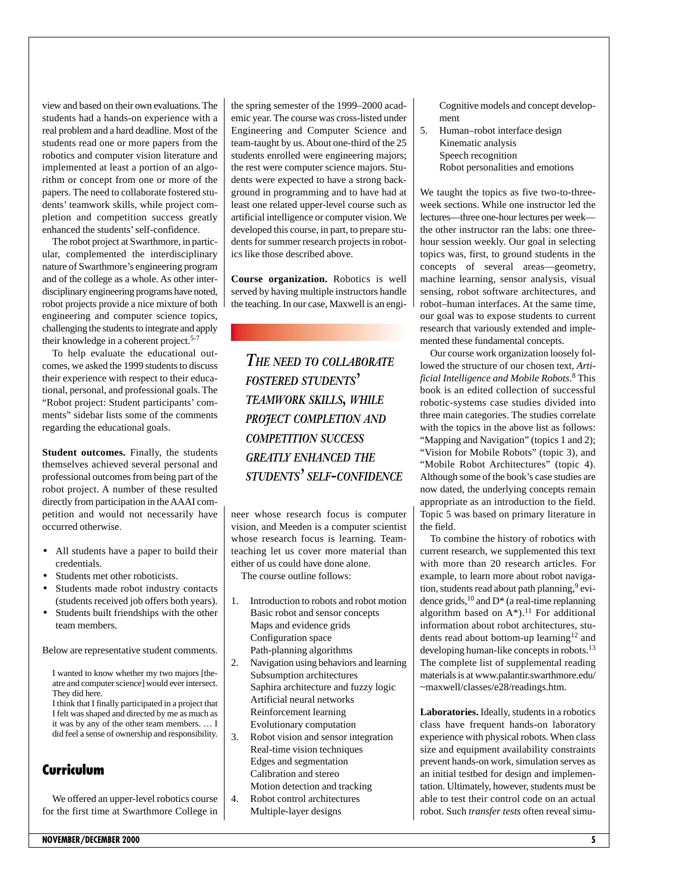view and based on their own evaluations. The students had a hands-on experience with a real problem and a hard deadline. Most of the students read one or more papers from the robotics and computer vision literature and implemented at least a portion of an algorithm or concept from one or more of the papers. The need to collaborate fostered students' teamwork skills, while project completion and competition success greatly enhanced the students' self-confidence.

The robot project at Swarthmore, in particular, complemented the interdisciplinary nature of Swarthmore's engineering program and of the college as a whole. As other interdisciplinary engineering programs have noted, robot projects provide a nice mixture of both engineering and computer science topics, challenging the students to integrate and apply their knowledge in a coherent project.<sup>5-7</sup>

To help evaluate the educational outcomes, we asked the 1999 students to discuss their experience with respect to their educational, personal, and professional goals. The "Robot project: Student participants' comments" sidebar lists some of the comments regarding the educational goals.

**Student outcomes.** Finally, the students themselves achieved several personal and professional outcomes from being part of the robot project. A number of these resulted directly from participation in the AAAI competition and would not necessarily have occurred otherwise.

- All students have a paper to build their credentials.
- Students met other roboticists.
- Students made robot industry contacts (students received job offers both years).
- Students built friendships with the other team members.

Below are representative student comments.

I wanted to know whether my two majors [theatre and computer science] would ever intersect. They did here.

I think that I finally participated in a project that I felt was shaped and directed by me as much as it was by any of the other team members. … I did feel a sense of ownership and responsibility.

### **Curriculum**

We offered an upper-level robotics course for the first time at Swarthmore College in

the spring semester of the 1999–2000 academic year. The course was cross-listed under Engineering and Computer Science and team-taught by us. About one-third of the 25 students enrolled were engineering majors; the rest were computer science majors. Students were expected to have a strong background in programming and to have had at least one related upper-level course such as artificial intelligence or computer vision. We developed this course, in part, to prepare students for summer research projects in robotics like those described above.

**Course organization.** Robotics is well served by having multiple instructors handle the teaching. In our case, Maxwell is an engi-

*THE NEED TO COLLABORATE FOSTERED STUDENTS' TEAMWORK SKILLS, WHILE PROJECT COMPLETION AND COMPETITION SUCCESS GREATLY ENHANCED THE STUDENTS' SELF-CONFIDENCE*

neer whose research focus is computer vision, and Meeden is a computer scientist whose research focus is learning. Teamteaching let us cover more material than either of us could have done alone. The course outline follows:

- 1. Introduction to robots and robot motion Basic robot and sensor concepts Maps and evidence grids
- Configuration space Path-planning algorithms 2. Navigation using behaviors and learning Subsumption architectures
- Saphira architecture and fuzzy logic Artificial neural networks Reinforcement learning Evolutionary computation
- 3. Robot vision and sensor integration Real-time vision techniques Edges and segmentation Calibration and stereo Motion detection and tracking 4. Robot control architectures Multiple-layer designs

Cognitive models and concept development

5. Human–robot interface design Kinematic analysis Speech recognition Robot personalities and emotions

We taught the topics as five two-to-threeweek sections. While one instructor led the lectures—three one-hour lectures per week the other instructor ran the labs: one threehour session weekly. Our goal in selecting topics was, first, to ground students in the concepts of several areas—geometry, machine learning, sensor analysis, visual sensing, robot software architectures, and robot–human interfaces. At the same time, our goal was to expose students to current research that variously extended and implemented these fundamental concepts.

Our course work organization loosely followed the structure of our chosen text, *Artificial Intelligence and Mobile Robots*. <sup>8</sup> This book is an edited collection of successful robotic-systems case studies divided into three main categories. The studies correlate with the topics in the above list as follows: "Mapping and Navigation" (topics 1 and 2); "Vision for Mobile Robots" (topic 3), and "Mobile Robot Architectures" (topic 4). Although some of the book's case studies are now dated, the underlying concepts remain appropriate as an introduction to the field. Topic 5 was based on primary literature in the field.

To combine the history of robotics with current research, we supplemented this text with more than 20 research articles. For example, to learn more about robot navigation, students read about path planning,  $9$  evidence grids,  $^{10}$  and D\* (a real-time replanning algorithm based on  $A^*$ ).<sup>11</sup> For additional information about robot architectures, students read about bottom-up learning<sup>12</sup> and developing human-like concepts in robots.<sup>13</sup> The complete list of supplemental reading materials is at www.palantir.swarthmore.edu/ ~maxwell/classes/e28/readings.htm.

**Laboratories.** Ideally, students in a robotics class have frequent hands-on laboratory experience with physical robots. When class size and equipment availability constraints prevent hands-on work, simulation serves as an initial testbed for design and implementation. Ultimately, however, students must be able to test their control code on an actual robot. Such *transfer tests* often reveal simu-

**NOVEMBER/DECEMBER 2000 5**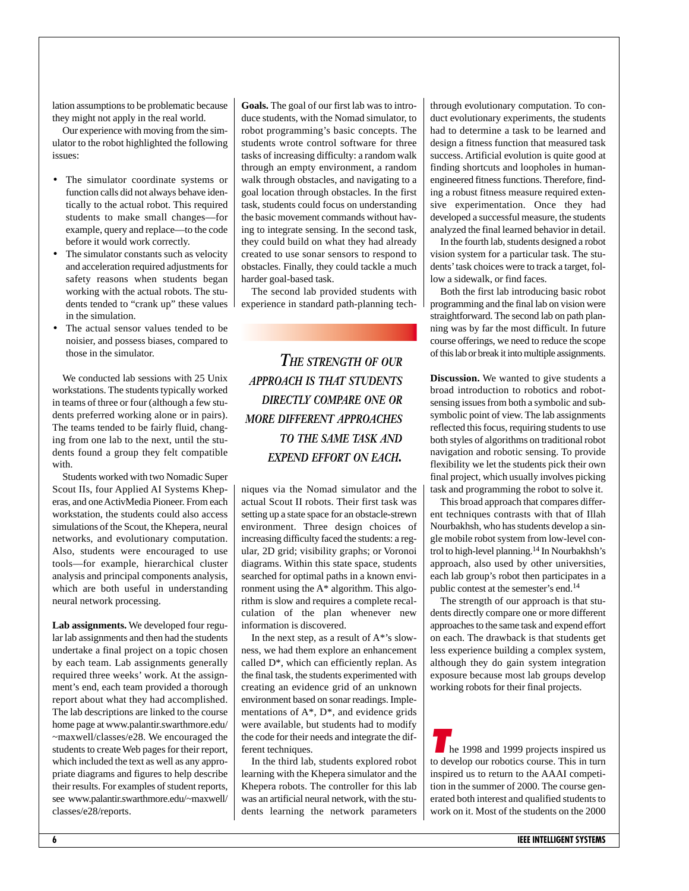lation assumptions to be problematic because they might not apply in the real world.

Our experience with moving from the simulator to the robot highlighted the following issues:

- The simulator coordinate systems or function calls did not always behave identically to the actual robot. This required students to make small changes—for example, query and replace—to the code before it would work correctly.
- The simulator constants such as velocity and acceleration required adjustments for safety reasons when students began working with the actual robots. The students tended to "crank up" these values in the simulation.
- The actual sensor values tended to be noisier, and possess biases, compared to those in the simulator.

We conducted lab sessions with 25 Unix workstations. The students typically worked in teams of three or four (although a few students preferred working alone or in pairs). The teams tended to be fairly fluid, changing from one lab to the next, until the students found a group they felt compatible with.

Students worked with two Nomadic Super Scout IIs, four Applied AI Systems Kheperas, and one ActivMedia Pioneer. From each workstation, the students could also access simulations of the Scout, the Khepera, neural networks, and evolutionary computation. Also, students were encouraged to use tools—for example, hierarchical cluster analysis and principal components analysis, which are both useful in understanding neural network processing.

**Lab assignments.** We developed four regular lab assignments and then had the students undertake a final project on a topic chosen by each team. Lab assignments generally required three weeks' work. At the assignment's end, each team provided a thorough report about what they had accomplished. The lab descriptions are linked to the course home page at www.palantir.swarthmore.edu/ ~maxwell/classes/e28. We encouraged the students to create Web pages for their report, which included the text as well as any appropriate diagrams and figures to help describe their results. For examples of student reports, see www.palantir.swarthmore.edu/~maxwell/ classes/e28/reports.

**Goals.** The goal of our first lab was to introduce students, with the Nomad simulator, to robot programming's basic concepts. The students wrote control software for three tasks of increasing difficulty: a random walk through an empty environment, a random walk through obstacles, and navigating to a goal location through obstacles. In the first task, students could focus on understanding the basic movement commands without having to integrate sensing. In the second task, they could build on what they had already created to use sonar sensors to respond to obstacles. Finally, they could tackle a much harder goal-based task.

The second lab provided students with experience in standard path-planning tech-

*THE STRENGTH OF OUR APPROACH IS THAT STUDENTS DIRECTLY COMPARE ONE OR MORE DIFFERENT APPROACHES TO THE SAME TASK AND EXPEND EFFORT ON EACH.*

niques via the Nomad simulator and the actual Scout II robots. Their first task was setting up a state space for an obstacle-strewn environment. Three design choices of increasing difficulty faced the students: a regular, 2D grid; visibility graphs; or Voronoi diagrams. Within this state space, students searched for optimal paths in a known environment using the A\* algorithm. This algorithm is slow and requires a complete recalculation of the plan whenever new information is discovered.

In the next step, as a result of A\*'s slowness, we had them explore an enhancement called D\*, which can efficiently replan. As the final task, the students experimented with creating an evidence grid of an unknown environment based on sonar readings. Implementations of A\*, D\*, and evidence grids were available, but students had to modify the code for their needs and integrate the different techniques.

In the third lab, students explored robot learning with the Khepera simulator and the Khepera robots. The controller for this lab was an artificial neural network, with the students learning the network parameters

through evolutionary computation. To conduct evolutionary experiments, the students had to determine a task to be learned and design a fitness function that measured task success. Artificial evolution is quite good at finding shortcuts and loopholes in humanengineered fitness functions. Therefore, finding a robust fitness measure required extensive experimentation. Once they had developed a successful measure, the students analyzed the final learned behavior in detail.

In the fourth lab, students designed a robot vision system for a particular task. The students' task choices were to track a target, follow a sidewalk, or find faces.

Both the first lab introducing basic robot programming and the final lab on vision were straightforward. The second lab on path planning was by far the most difficult. In future course offerings, we need to reduce the scope of this lab or break it into multiple assignments.

**Discussion.** We wanted to give students a broad introduction to robotics and robotsensing issues from both a symbolic and subsymbolic point of view. The lab assignments reflected this focus, requiring students to use both styles of algorithms on traditional robot navigation and robotic sensing. To provide flexibility we let the students pick their own final project, which usually involves picking task and programming the robot to solve it.

This broad approach that compares different techniques contrasts with that of Illah Nourbakhsh, who has students develop a single mobile robot system from low-level control to high-level planning.14 In Nourbakhsh's approach, also used by other universities, each lab group's robot then participates in a public contest at the semester's end.14

The strength of our approach is that students directly compare one or more different approaches to the same task and expend effort on each. The drawback is that students get less experience building a complex system, although they do gain system integration exposure because most lab groups develop working robots for their final projects.

he 1998 and 1999 projects inspired us to develop our robotics course. This in turn inspired us to return to the AAAI competition in the summer of 2000. The course generated both interest and qualified students to work on it. Most of the students on the 2000